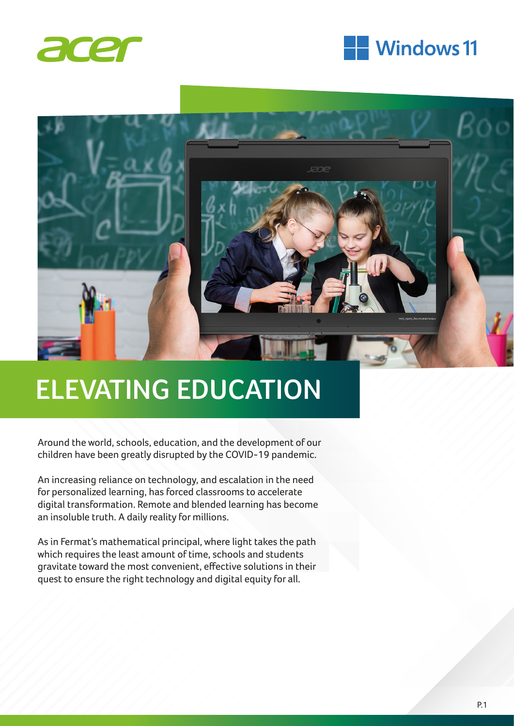





# **ELEVATING EDUCATION**

Around the world, schools, education, and the development of our children have been greatly disrupted by the COVID-19 pandemic.

An increasing reliance on technology, and escalation in the need for personalized learning, has forced classrooms to accelerate digital transformation. Remote and blended learning has become an insoluble truth. A daily reality for millions.

As in Fermat's mathematical principal, where light takes the path which requires the least amount of time, schools and students gravitate toward the most convenient, effective solutions in their quest to ensure the right technology and digital equity for all.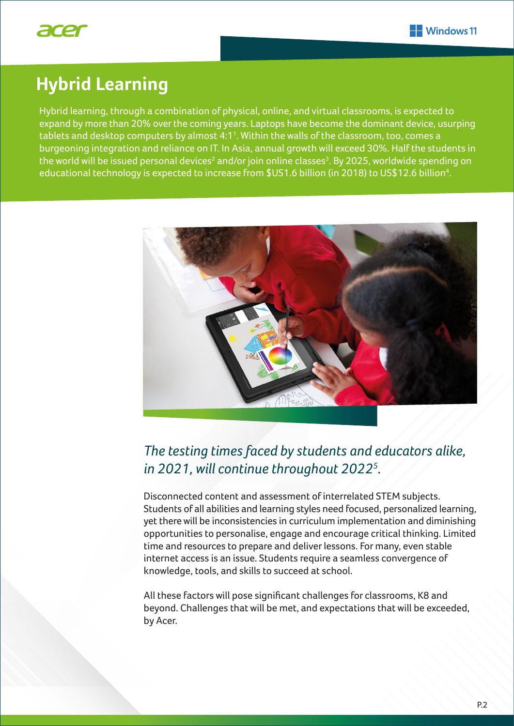

### **Hybrid Learning**

Hybrid learning, through a combination of physical, online, and virtual classrooms, is expected to expand by more than 20% over the coming years. Laptops have become the dominant device, usurping tablets and desktop computers by almost 4:1<sup>1</sup>. Within the walls of the classroom, too, comes a burgeoning integration and reliance on IT. In Asia, annual growth will exceed 30%. Half the students in the world will be issued personal devices $^{\rm 2}$  and/or join online classes $^{\rm 3}$ . By 2025, worldwide spending on educational technology is expected to increase from \$US1.6 billion (in 2018) to US\$12.6 billion<sup>4</sup>.



### *The testing times faced by students and educators alike, in 2021, will continue throughout 20225 .*

Disconnected content and assessment of interrelated STEM subjects. Students of all abilities and learning styles need focused, personalized learning, yet there will be inconsistencies in curriculum implementation and diminishing opportunities to personalise, engage and encourage critical thinking. Limited time and resources to prepare and deliver lessons. For many, even stable internet access is an issue. Students require a seamless convergence of knowledge, tools, and skills to succeed at school.

All these factors will pose significant challenges for classrooms, K8 and beyond. Challenges that will be met, and expectations that will be exceeded, by Acer.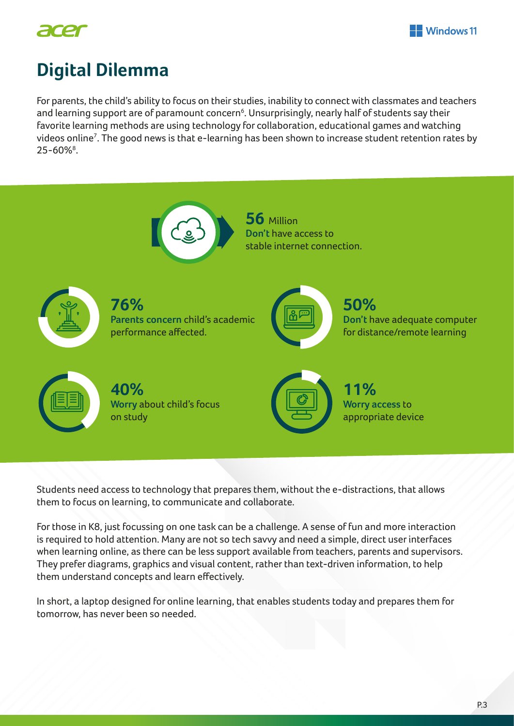



### **Digital Dilemma**

For parents, the child's ability to focus on their studies, inability to connect with classmates and teachers and learning support are of paramount concern<sup>6</sup>. Unsurprisingly, nearly half of students say their favorite learning methods are using technology for collaboration, educational games and watching videos online<sup>7</sup>. The good news is that e-learning has been shown to increase student retention rates by 25-60%<sup>8</sup>.



Students need access to technology that prepares them, without the e-distractions, that allows them to focus on learning, to communicate and collaborate.

For those in K8, just focussing on one task can be a challenge. A sense of fun and more interaction is required to hold attention. Many are not so tech savvy and need a simple, direct user interfaces when learning online, as there can be less support available from teachers, parents and supervisors. They prefer diagrams, graphics and visual content, rather than text-driven information, to help them understand concepts and learn effectively.

In short, a laptop designed for online learning, that enables students today and prepares them for tomorrow, has never been so needed.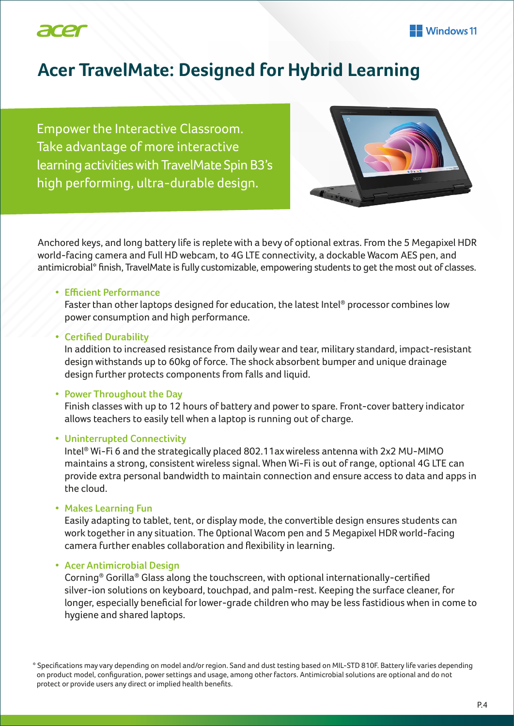

### **Acer TravelMate: Designed for Hybrid Learning**

Empower the Interactive Classroom. Take advantage of more interactive learning activities with TravelMate Spin B3's high performing, ultra-durable design.



Anchored keys, and long battery life is replete with a bevy of optional extras. From the 5 Megapixel HDR world-facing camera and Full HD webcam, to 4G LTE connectivity, a dockable Wacom AES pen, and antimicrobial\* finish, TravelMate is fully customizable, empowering students to get the most out of classes.

#### **• Efficient Performance**

 Faster than other laptops designed for education, the latest Intel® processor combines low power consumption and high performance.

#### **• Certified Durability**

 In addition to increased resistance from daily wear and tear, military standard, impact-resistant design withstands up to 60kg of force. The shock absorbent bumper and unique drainage design further protects components from falls and liquid.

#### **• Power Throughout the Day**

 Finish classes with up to 12 hours of battery and power to spare. Front-cover battery indicator allows teachers to easily tell when a laptop is running out of charge.

#### **• Uninterrupted Connectivity**

 Intel® Wi-Fi 6 and the strategically placed 802.11ax wireless antenna with 2x2 MU-MIMO maintains a strong, consistent wireless signal. When Wi-Fi is out of range, optional 4G LTE can provide extra personal bandwidth to maintain connection and ensure access to data and apps in the cloud.

#### **• Makes Learning Fun**

 Easily adapting to tablet, tent, or display mode, the convertible design ensures students can work together in any situation. The 0ptional Wacom pen and 5 Megapixel HDR world-facing camera further enables collaboration and flexibility in learning.

#### **• Acer Antimicrobial Design**

 Corning® Gorilla® Glass along the touchscreen, with optional internationally-certified silver-ion solutions on keyboard, touchpad, and palm-rest. Keeping the surface cleaner, for longer, especially beneficial for lower-grade children who may be less fastidious when in come to hygiene and shared laptops.

\* Specifications may vary depending on model and/or region. Sand and dust testing based on MIL-STD 810F. Battery life varies depending on product model, configuration, power settings and usage, among other factors. Antimicrobial solutions are optional and do not protect or provide users any direct or implied health benefits.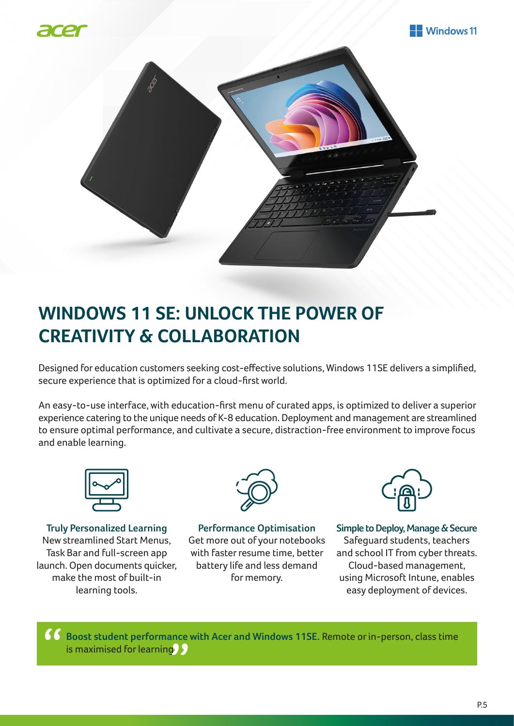





## **WINDOWS 11 SE: UNLOCK THE POWER OF CREATIVITY & COLLABORATION**

Designed for education customers seeking cost-effective solutions, Windows 11SE delivers a simplified, secure experience that is optimized for a cloud-first world.

An easy-to-use interface, with education-first menu of curated apps, is optimized to deliver a superior experience catering to the unique needs of K-8 education. Deployment and management are streamlined to ensure optimal performance, and cultivate a secure, distraction-free environment to improve focus and enable learning.



**Truly Personalized Learning** New streamlined Start Menus, Task Bar and full-screen app launch. Open documents quicker, make the most of built-in learning tools.



**Performance Optimisation**  Get more out of your notebooks with faster resume time, better battery life and less demand for memory.



**Simple to Deploy, Manage & Secure** Safeguard students, teachers and school IT from cyber threats. Cloud-based management, using Microsoft Intune, enables easy deployment of devices.

**Boost student performance with Acer and Windows 11SE.** Remote or in-person, class time Ecost statent performance<br>is maximised for learning. "<br>"